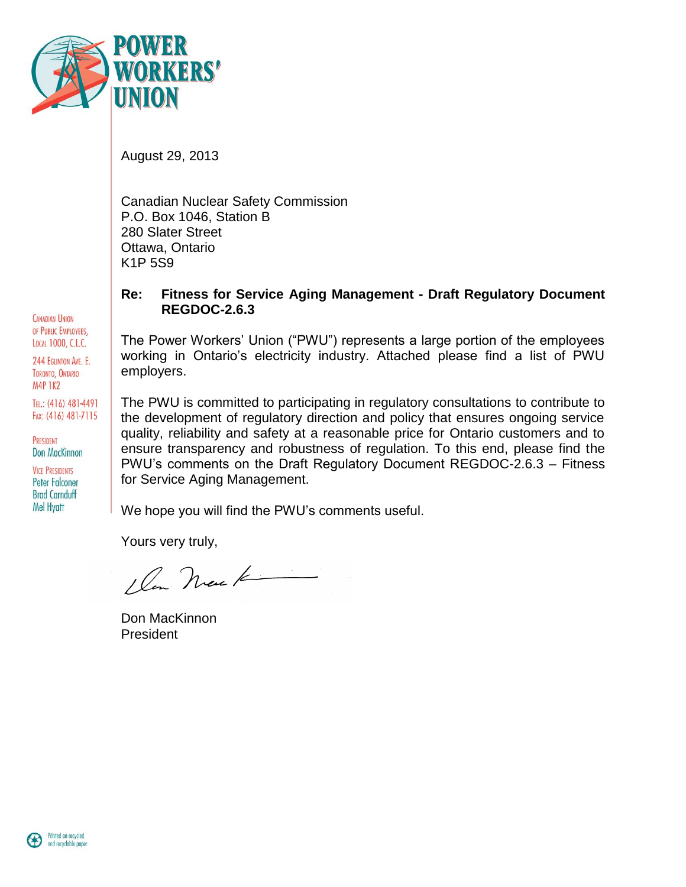

August 29, 2013

Canadian Nuclear Safety Commission P.O. Box 1046, Station B 280 Slater Street Ottawa, Ontario K1P 5S9

#### **Re: Fitness for Service Aging Management - Draft Regulatory Document REGDOC-2.6.3**

The Power Workers' Union ("PWU") represents a large portion of the employees working in Ontario's electricity industry. Attached please find a list of PWU employers.

The PWU is committed to participating in regulatory consultations to contribute to the development of regulatory direction and policy that ensures ongoing service quality, reliability and safety at a reasonable price for Ontario customers and to ensure transparency and robustness of regulation. To this end, please find the PWU's comments on the Draft Regulatory Document REGDOC-2.6.3 – Fitness for Service Aging Management.

We hope you will find the PWU's comments useful.

Yours very truly,

1 Con Neue K

Don MacKinnon President



**CANADIAN UNION** OF PUBLIC EMPLOYEES. LOCAL 1000, C.L.C. 244 EGLINTON AVE. E. TORONTO, ONTARIO **M4P 1K2** 

TEL: (416) 481-4491 FAX: (416) 481-7115

PRESIDENT Don MacKinnon **VICE PRESIDENTS Peter Falconer Brad Carnduff Mel Hvatt**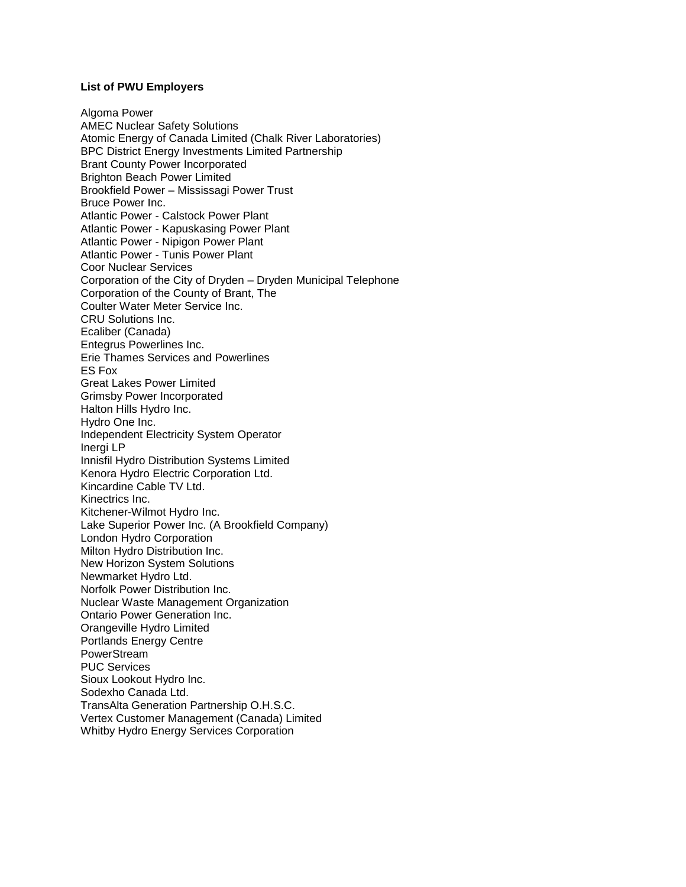#### **List of PWU Employers**

Algoma Power AMEC Nuclear Safety Solutions Atomic Energy of Canada Limited (Chalk River Laboratories) BPC District Energy Investments Limited Partnership Brant County Power Incorporated Brighton Beach Power Limited Brookfield Power – Mississagi Power Trust Bruce Power Inc. Atlantic Power - Calstock Power Plant Atlantic Power - Kapuskasing Power Plant Atlantic Power - Nipigon Power Plant Atlantic Power - Tunis Power Plant Coor Nuclear Services Corporation of the City of Dryden – Dryden Municipal Telephone Corporation of the County of Brant, The Coulter Water Meter Service Inc. CRU Solutions Inc. Ecaliber (Canada) Entegrus Powerlines Inc. Erie Thames Services and Powerlines ES Fox Great Lakes Power Limited Grimsby Power Incorporated Halton Hills Hydro Inc. Hydro One Inc. Independent Electricity System Operator Inergi LP Innisfil Hydro Distribution Systems Limited Kenora Hydro Electric Corporation Ltd. Kincardine Cable TV Ltd. Kinectrics Inc. Kitchener-Wilmot Hydro Inc. Lake Superior Power Inc. (A Brookfield Company) London Hydro Corporation Milton Hydro Distribution Inc. New Horizon System Solutions Newmarket Hydro Ltd. Norfolk Power Distribution Inc. Nuclear Waste Management Organization Ontario Power Generation Inc. Orangeville Hydro Limited Portlands Energy Centre PowerStream PUC Services Sioux Lookout Hydro Inc. Sodexho Canada Ltd. TransAlta Generation Partnership O.H.S.C. Vertex Customer Management (Canada) Limited Whitby Hydro Energy Services Corporation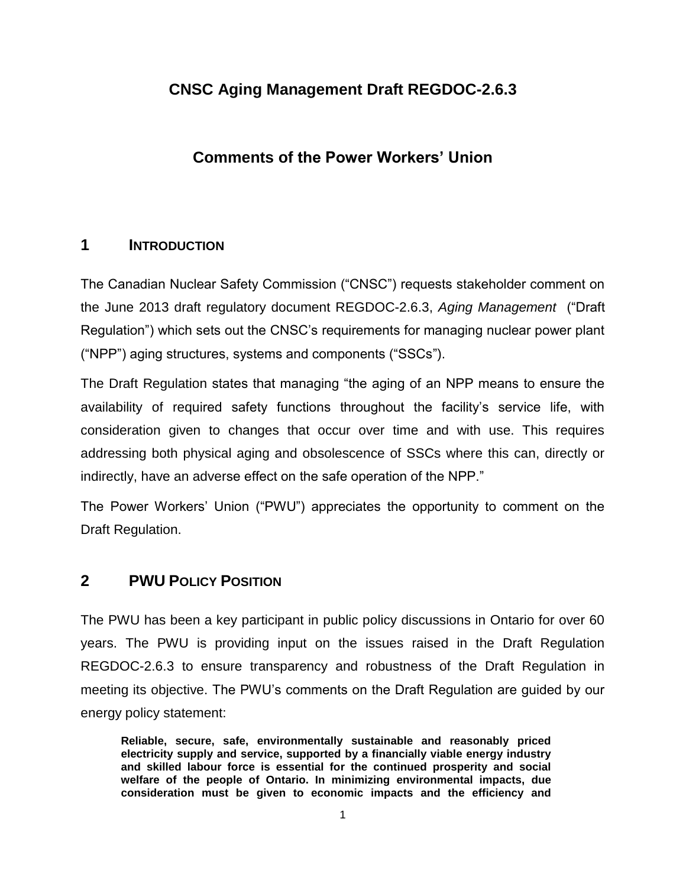# **CNSC Aging Management Draft REGDOC-2.6.3**

# **Comments of the Power Workers' Union**

### **1 INTRODUCTION**

The Canadian Nuclear Safety Commission ("CNSC") requests stakeholder comment on the June 2013 draft regulatory document REGDOC-2.6.3, *Aging Management* ("Draft Regulation") which sets out the CNSC's requirements for managing nuclear power plant ("NPP") aging structures, systems and components ("SSCs").

The Draft Regulation states that managing "the aging of an NPP means to ensure the availability of required safety functions throughout the facility's service life, with consideration given to changes that occur over time and with use. This requires addressing both physical aging and obsolescence of SSCs where this can, directly or indirectly, have an adverse effect on the safe operation of the NPP."

The Power Workers' Union ("PWU") appreciates the opportunity to comment on the Draft Regulation.

# **2 PWU POLICY POSITION**

The PWU has been a key participant in public policy discussions in Ontario for over 60 years. The PWU is providing input on the issues raised in the Draft Regulation REGDOC-2.6.3 to ensure transparency and robustness of the Draft Regulation in meeting its objective. The PWU's comments on the Draft Regulation are guided by our energy policy statement:

**Reliable, secure, safe, environmentally sustainable and reasonably priced electricity supply and service, supported by a financially viable energy industry and skilled labour force is essential for the continued prosperity and social welfare of the people of Ontario. In minimizing environmental impacts, due consideration must be given to economic impacts and the efficiency and**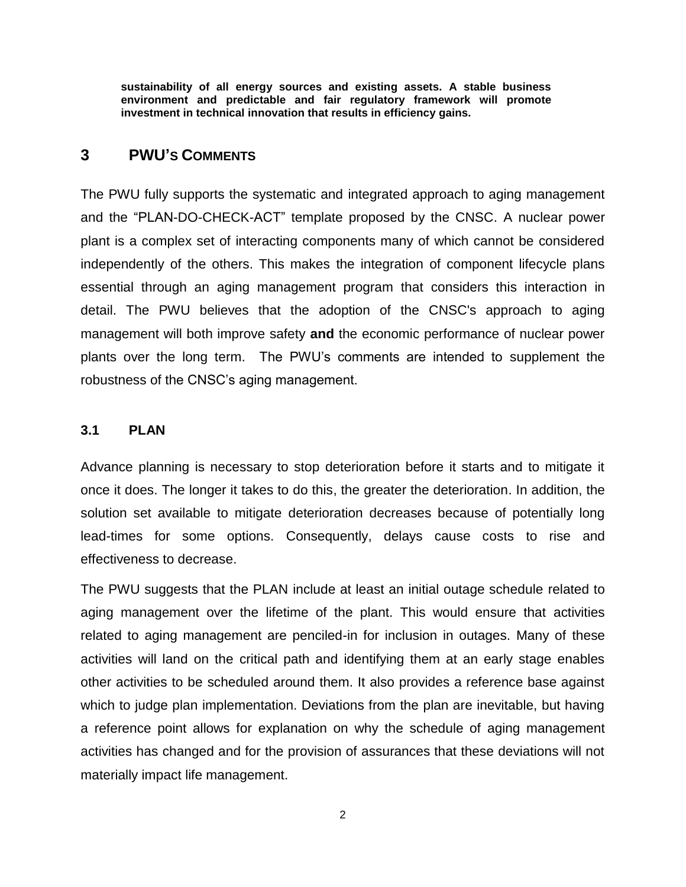**sustainability of all energy sources and existing assets. A stable business environment and predictable and fair regulatory framework will promote investment in technical innovation that results in efficiency gains.**

#### **3 PWU'S COMMENTS**

The PWU fully supports the systematic and integrated approach to aging management and the "PLAN-DO-CHECK-ACT" template proposed by the CNSC. A nuclear power plant is a complex set of interacting components many of which cannot be considered independently of the others. This makes the integration of component lifecycle plans essential through an aging management program that considers this interaction in detail. The PWU believes that the adoption of the CNSC's approach to aging management will both improve safety **and** the economic performance of nuclear power plants over the long term. The PWU's comments are intended to supplement the robustness of the CNSC's aging management.

#### **3.1 PLAN**

Advance planning is necessary to stop deterioration before it starts and to mitigate it once it does. The longer it takes to do this, the greater the deterioration. In addition, the solution set available to mitigate deterioration decreases because of potentially long lead-times for some options. Consequently, delays cause costs to rise and effectiveness to decrease.

The PWU suggests that the PLAN include at least an initial outage schedule related to aging management over the lifetime of the plant. This would ensure that activities related to aging management are penciled-in for inclusion in outages. Many of these activities will land on the critical path and identifying them at an early stage enables other activities to be scheduled around them. It also provides a reference base against which to judge plan implementation. Deviations from the plan are inevitable, but having a reference point allows for explanation on why the schedule of aging management activities has changed and for the provision of assurances that these deviations will not materially impact life management.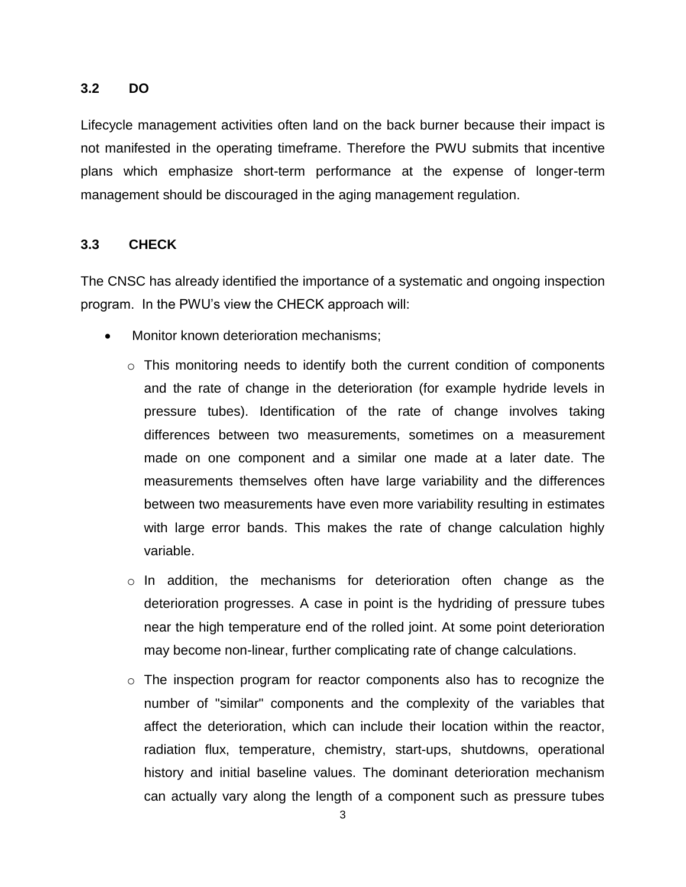### **3.2 DO**

Lifecycle management activities often land on the back burner because their impact is not manifested in the operating timeframe. Therefore the PWU submits that incentive plans which emphasize short-term performance at the expense of longer-term management should be discouraged in the aging management regulation.

#### **3.3 CHECK**

The CNSC has already identified the importance of a systematic and ongoing inspection program. In the PWU's view the CHECK approach will:

- Monitor known deterioration mechanisms;
	- o This monitoring needs to identify both the current condition of components and the rate of change in the deterioration (for example hydride levels in pressure tubes). Identification of the rate of change involves taking differences between two measurements, sometimes on a measurement made on one component and a similar one made at a later date. The measurements themselves often have large variability and the differences between two measurements have even more variability resulting in estimates with large error bands. This makes the rate of change calculation highly variable.
	- $\circ$  In addition, the mechanisms for deterioration often change as the deterioration progresses. A case in point is the hydriding of pressure tubes near the high temperature end of the rolled joint. At some point deterioration may become non-linear, further complicating rate of change calculations.
	- $\circ$  The inspection program for reactor components also has to recognize the number of "similar" components and the complexity of the variables that affect the deterioration, which can include their location within the reactor, radiation flux, temperature, chemistry, start-ups, shutdowns, operational history and initial baseline values. The dominant deterioration mechanism can actually vary along the length of a component such as pressure tubes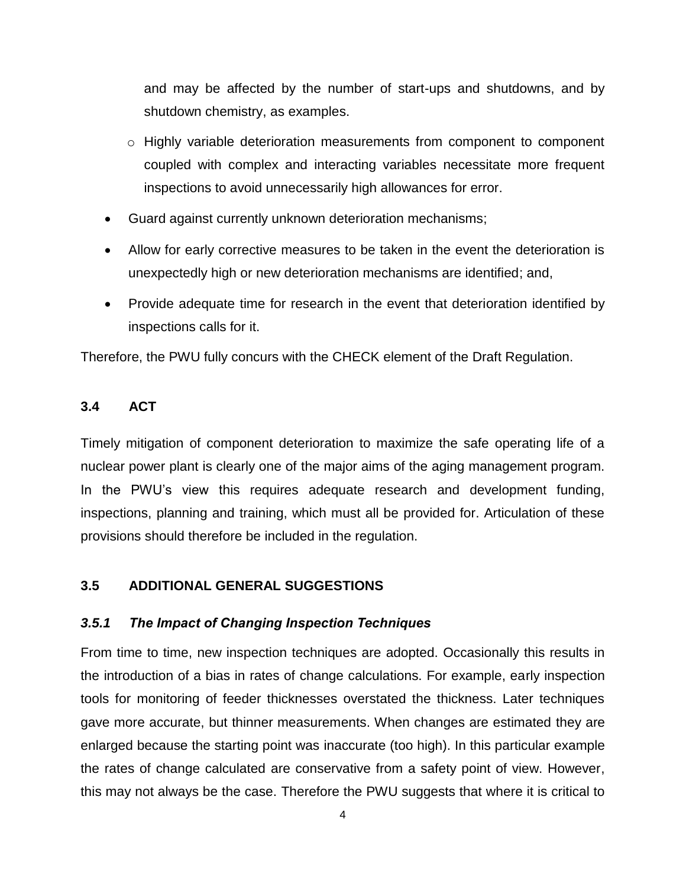and may be affected by the number of start-ups and shutdowns, and by shutdown chemistry, as examples.

- $\circ$  Highly variable deterioration measurements from component to component coupled with complex and interacting variables necessitate more frequent inspections to avoid unnecessarily high allowances for error.
- Guard against currently unknown deterioration mechanisms;
- Allow for early corrective measures to be taken in the event the deterioration is unexpectedly high or new deterioration mechanisms are identified; and,
- Provide adequate time for research in the event that deterioration identified by inspections calls for it.

Therefore, the PWU fully concurs with the CHECK element of the Draft Regulation.

# **3.4 ACT**

Timely mitigation of component deterioration to maximize the safe operating life of a nuclear power plant is clearly one of the major aims of the aging management program. In the PWU's view this requires adequate research and development funding, inspections, planning and training, which must all be provided for. Articulation of these provisions should therefore be included in the regulation.

### **3.5 ADDITIONAL GENERAL SUGGESTIONS**

### *3.5.1 The Impact of Changing Inspection Techniques*

From time to time, new inspection techniques are adopted. Occasionally this results in the introduction of a bias in rates of change calculations. For example, early inspection tools for monitoring of feeder thicknesses overstated the thickness. Later techniques gave more accurate, but thinner measurements. When changes are estimated they are enlarged because the starting point was inaccurate (too high). In this particular example the rates of change calculated are conservative from a safety point of view. However, this may not always be the case. Therefore the PWU suggests that where it is critical to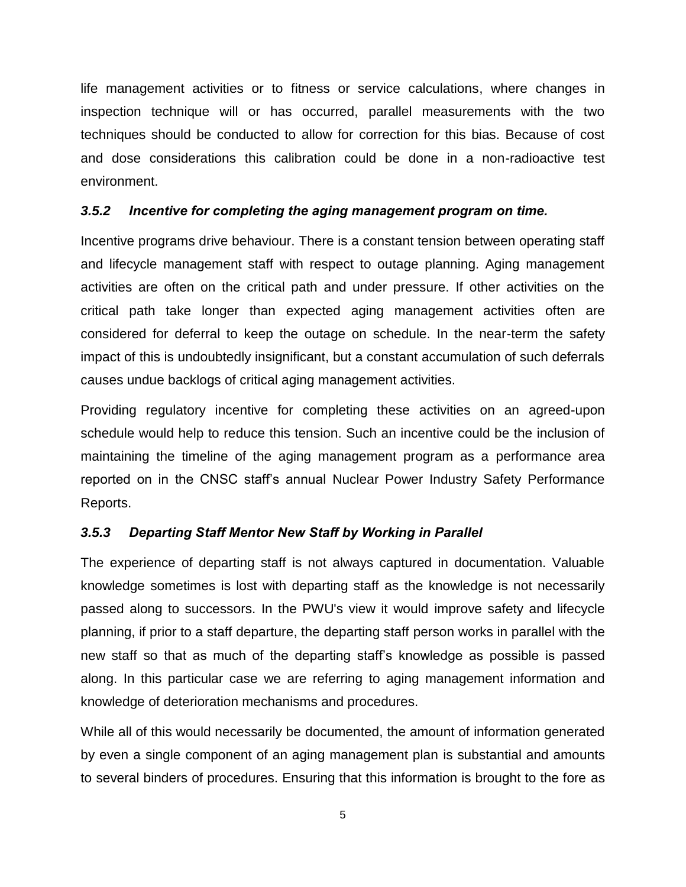life management activities or to fitness or service calculations, where changes in inspection technique will or has occurred, parallel measurements with the two techniques should be conducted to allow for correction for this bias. Because of cost and dose considerations this calibration could be done in a non-radioactive test environment.

#### *3.5.2 Incentive for completing the aging management program on time.*

Incentive programs drive behaviour. There is a constant tension between operating staff and lifecycle management staff with respect to outage planning. Aging management activities are often on the critical path and under pressure. If other activities on the critical path take longer than expected aging management activities often are considered for deferral to keep the outage on schedule. In the near-term the safety impact of this is undoubtedly insignificant, but a constant accumulation of such deferrals causes undue backlogs of critical aging management activities.

Providing regulatory incentive for completing these activities on an agreed-upon schedule would help to reduce this tension. Such an incentive could be the inclusion of maintaining the timeline of the aging management program as a performance area reported on in the CNSC staff's annual Nuclear Power Industry Safety Performance Reports.

### *3.5.3 Departing Staff Mentor New Staff by Working in Parallel*

The experience of departing staff is not always captured in documentation. Valuable knowledge sometimes is lost with departing staff as the knowledge is not necessarily passed along to successors. In the PWU's view it would improve safety and lifecycle planning, if prior to a staff departure, the departing staff person works in parallel with the new staff so that as much of the departing staff's knowledge as possible is passed along. In this particular case we are referring to aging management information and knowledge of deterioration mechanisms and procedures.

While all of this would necessarily be documented, the amount of information generated by even a single component of an aging management plan is substantial and amounts to several binders of procedures. Ensuring that this information is brought to the fore as